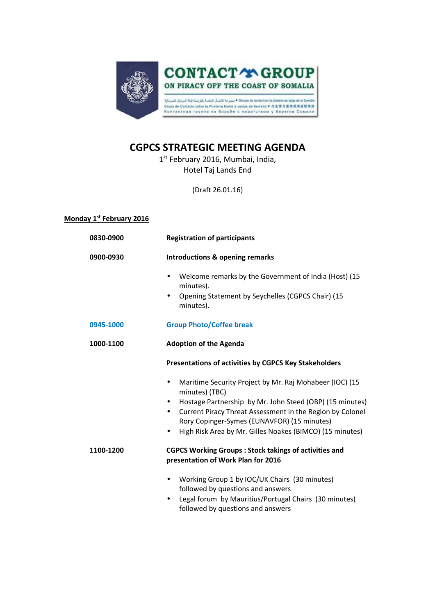

## **CGPCS STRATEGIC MEETING AGENDA**

1 st February 2016, Mumbai, India, Hotel Taj Lands End

(Draft 26.01.16)

| Monday 1 <sup>st</sup> February 2016 |
|--------------------------------------|
|--------------------------------------|

| 0830-0900 | <b>Registration of participants</b>                                                                          |
|-----------|--------------------------------------------------------------------------------------------------------------|
| 0900-0930 | Introductions & opening remarks                                                                              |
|           | Welcome remarks by the Government of India (Host) (15<br>$\bullet$<br>minutes).                              |
|           | Opening Statement by Seychelles (CGPCS Chair) (15<br>$\bullet$<br>minutes).                                  |
| 0945-1000 | <b>Group Photo/Coffee break</b>                                                                              |
| 1000-1100 | <b>Adoption of the Agenda</b>                                                                                |
|           | Presentations of activities by CGPCS Key Stakeholders                                                        |
|           | Maritime Security Project by Mr. Raj Mohabeer (IOC) (15<br>$\bullet$<br>minutes) (TBC)                       |
|           | Hostage Partnership by Mr. John Steed (OBP) (15 minutes)<br>$\bullet$                                        |
|           | Current Piracy Threat Assessment in the Region by Colonel<br>$\bullet$                                       |
|           | Rory Copinger-Symes (EUNAVFOR) (15 minutes)<br>High Risk Area by Mr. Gilles Noakes (BIMCO) (15 minutes)<br>٠ |
|           |                                                                                                              |
| 1100-1200 | <b>CGPCS Working Groups: Stock takings of activities and</b><br>presentation of Work Plan for 2016           |
|           | Working Group 1 by IOC/UK Chairs (30 minutes)<br>٠                                                           |
|           | followed by questions and answers                                                                            |
|           | Legal forum by Mauritius/Portugal Chairs (30 minutes)<br>followed by questions and answers                   |
|           |                                                                                                              |